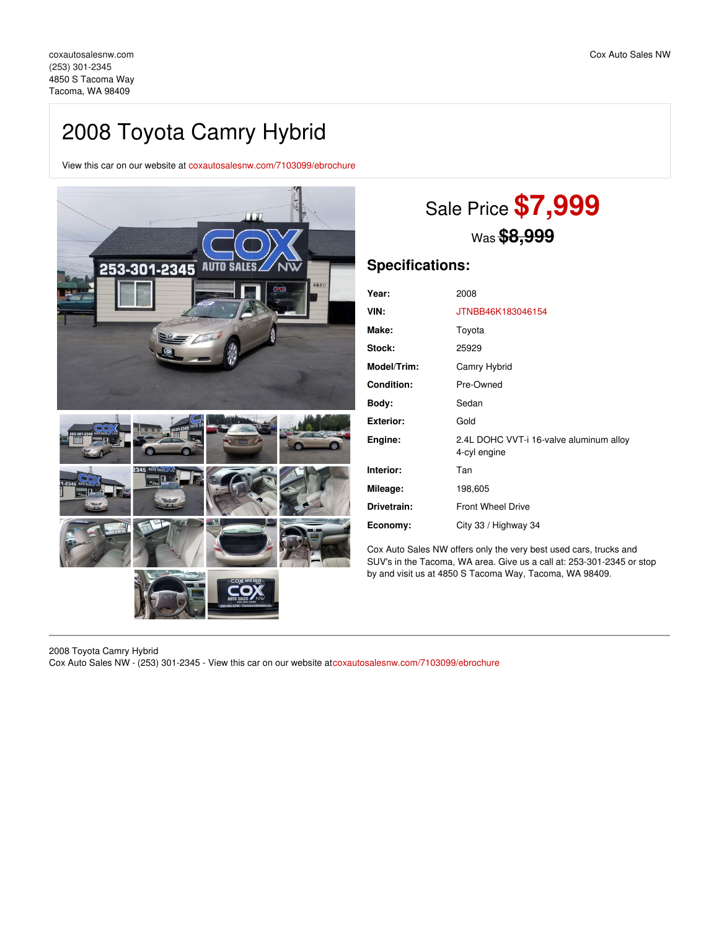## 2008 Toyota Camry Hybrid

View this car on our website at [coxautosalesnw.com/7103099/ebrochure](https://coxautosalesnw.com/vehicle/7103099/2008-toyota-camry-hybrid-tacoma-wa-98409/7103099/ebrochure)



# Sale Price **\$7,999** Was **\$8,999**

### **Specifications:**

| Year:             | 2008                                                    |
|-------------------|---------------------------------------------------------|
| VIN:              | JTNBB46K183046154                                       |
| Make:             | Toyota                                                  |
| Stock:            | 25929                                                   |
| Model/Trim:       | Camry Hybrid                                            |
| <b>Condition:</b> | Pre-Owned                                               |
| Body:             | Sedan                                                   |
| <b>Exterior:</b>  | Gold                                                    |
| Engine:           | 2.4L DOHC VVT-i 16-valve aluminum alloy<br>4-cyl engine |
| Interior:         | Tan                                                     |
| Mileage:          | 198,605                                                 |
| Drivetrain:       | <b>Front Wheel Drive</b>                                |
| Economy:          | City 33 / Highway 34                                    |
|                   |                                                         |

Cox Auto Sales NW offers only the very best used cars, trucks and SUV's in the Tacoma, WA area. Give us a call at: 253-301-2345 or stop by and visit us at 4850 S Tacoma Way, Tacoma, WA 98409.

2008 Toyota Camry Hybrid Cox Auto Sales NW - (253) 301-2345 - View this car on our website at[coxautosalesnw.com/7103099/ebrochure](https://coxautosalesnw.com/vehicle/7103099/2008-toyota-camry-hybrid-tacoma-wa-98409/7103099/ebrochure)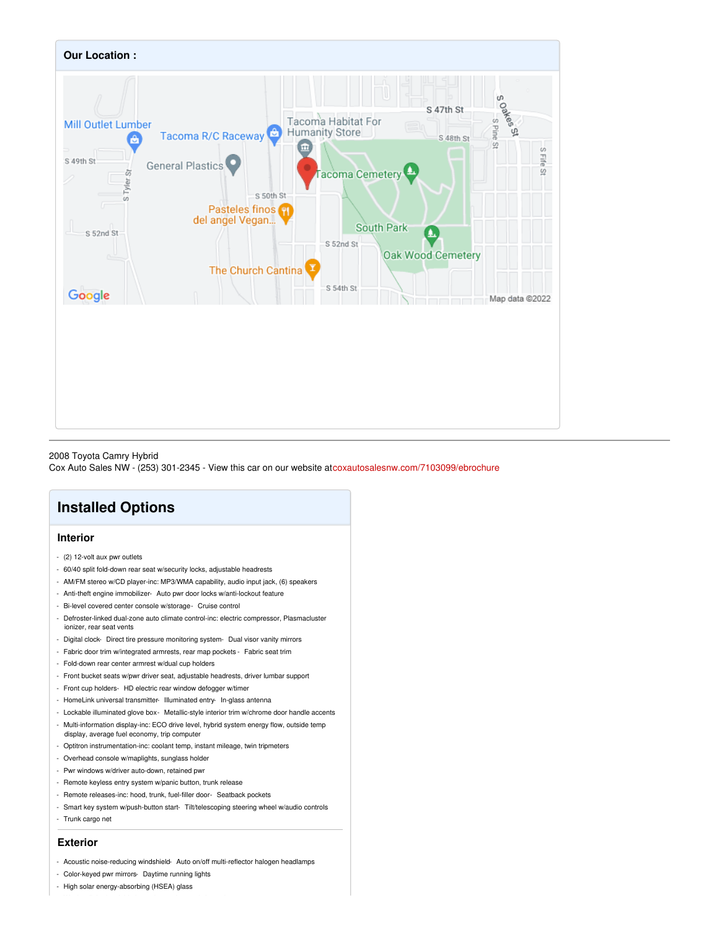

### 2008 Toyota Camry Hybrid

Cox Auto Sales NW - (253) 301-2345 - View this car on our website at[coxautosalesnw.com/7103099/ebrochure](https://coxautosalesnw.com/vehicle/7103099/2008-toyota-camry-hybrid-tacoma-wa-98409/7103099/ebrochure)

### **Installed Options**

### **Interior**

- (2) 12-volt aux pwr outlets
- 60/40 split fold-down rear seat w/security locks, adjustable headrests
- AM/FM stereo w/CD player-inc: MP3/WMA capability, audio input jack, (6) speakers
- Anti-theft engine immobilizer- Auto pwr door locks w/anti-lockout feature
- Bi-level covered center console w/storage- Cruise control
- Defroster-linked dual-zone auto climate control-inc: electric compressor, Plasmacluster ionizer, rear seat vents
- Digital clock- Direct tire pressure monitoring system- Dual visor vanity mirrors
- Fabric door trim w/integrated armrests, rear map pockets Fabric seat trim
- Fold-down rear center armrest w/dual cup holders
- Front bucket seats w/pwr driver seat, adjustable headrests, driver lumbar support
- Front cup holders- HD electric rear window defogger w/timer
- HomeLink universal transmitter- Illuminated entry- In-glass antenna
- Lockable illuminated glove box- Metallic-style interior trim w/chrome door handle accents
- Multi-information display-inc: ECO drive level, hybrid system energy flow, outside temp display, average fuel economy, trip computer
- Optitron instrumentation-inc: coolant temp, instant mileage, twin tripmeters
- Overhead console w/maplights, sunglass holder
- Pwr windows w/driver auto-down, retained pwr
- Remote keyless entry system w/panic button, trunk release
- Remote releases-inc: hood, trunk, fuel-filler door- Seatback pockets
- Smart key system w/push-button start- Tilt/telescoping steering wheel w/audio controls
- Trunk cargo net

#### **Exterior**

- Acoustic noise-reducing windshield- Auto on/off multi-reflector halogen headlamps
- Color-keyed pwr mirrors- Daytime running lights
- High solar energy-absorbing (HSEA) glass